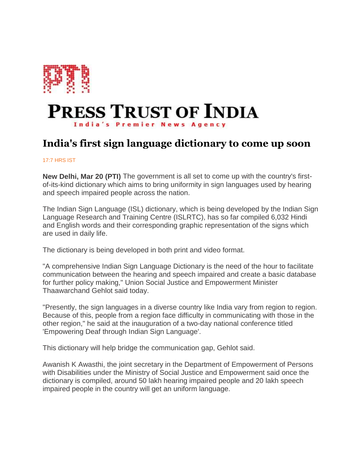

## **PRESS TRUST OF INDIA India's Premier News Agency**

## **India's first sign language dictionary to come up soon**

## 17:7 HRS IST

**New Delhi, Mar 20 (PTI)** The government is all set to come up with the country's firstof-its-kind dictionary which aims to bring uniformity in sign languages used by hearing and speech impaired people across the nation.

The Indian Sign Language (ISL) dictionary, which is being developed by the Indian Sign Language Research and Training Centre (ISLRTC), has so far compiled 6,032 Hindi and English words and their corresponding graphic representation of the signs which are used in daily life.

The dictionary is being developed in both print and video format.

"A comprehensive Indian Sign Language Dictionary is the need of the hour to facilitate communication between the hearing and speech impaired and create a basic database for further policy making," Union Social Justice and Empowerment Minister Thaawarchand Gehlot said today.

"Presently, the sign languages in a diverse country like India vary from region to region. Because of this, people from a region face difficulty in communicating with those in the other region," he said at the inauguration of a two-day national conference titled 'Empowering Deaf through Indian Sign Language'.

This dictionary will help bridge the communication gap, Gehlot said.

Awanish K Awasthi, the joint secretary in the Department of Empowerment of Persons with Disabilities under the Ministry of Social Justice and Empowerment said once the dictionary is compiled, around 50 lakh hearing impaired people and 20 lakh speech impaired people in the country will get an uniform language.